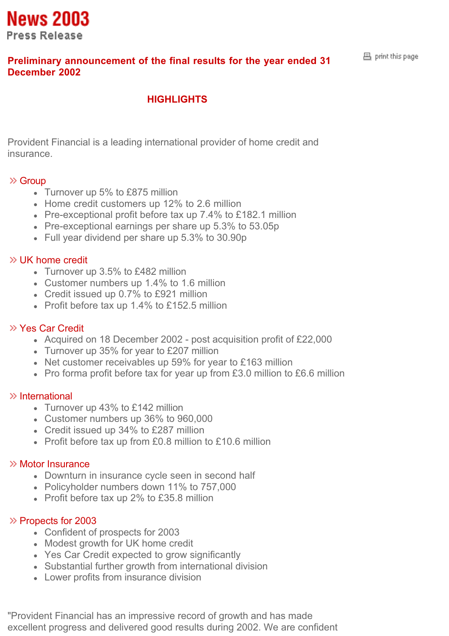

# **Preliminary announcement of the final results for the year ended 31 December 2002**

#### 昌 print this page

# **HIGHLIGHTS**

Provident Financial is a leading international provider of home credit and insurance.

#### $\gg$  Group

- Turnover up 5% to £875 million
- Home credit customers up 12% to 2.6 million
- Pre-exceptional profit before tax up 7.4% to £182.1 million
- Pre-exceptional earnings per share up 5.3% to 53.05p
- Full year dividend per share up 5.3% to 30.90p

#### $\gg$  UK home credit

- Turnover up 3.5% to £482 million
- Customer numbers up 1.4% to 1.6 million
- Credit issued up 0.7% to £921 million
- Profit before tax up 1.4% to £152.5 million

#### Yes Car Credit

- Acquired on 18 December 2002 post acquisition profit of £22,000
- Turnover up 35% for year to £207 million
- Net customer receivables up 59% for year to £163 million
- Pro forma profit before tax for year up from £3.0 million to £6.6 million

#### $\gg$  International

- Turnover up 43% to £142 million
- Customer numbers up 36% to 960,000
- Credit issued up 34% to £287 million
- Profit before tax up from £0.8 million to £10.6 million

## Motor Insurance

- Downturn in insurance cycle seen in second half
- Policyholder numbers down 11% to 757,000
- Profit before tax up 2% to £35.8 million

#### $\gg$  Propects for 2003

- Confident of prospects for 2003
- Modest growth for UK home credit
- Yes Car Credit expected to grow significantly
- Substantial further growth from international division
- Lower profits from insurance division

"Provident Financial has an impressive record of growth and has made excellent progress and delivered good results during 2002. We are confident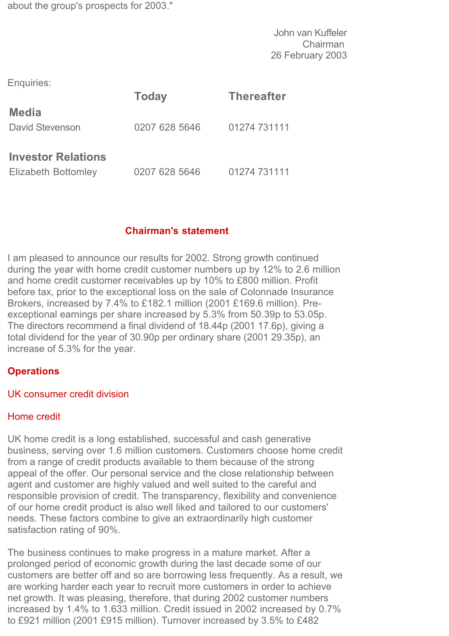about the group's prospects for 2003."

John van Kuffeler Chairman 26 February 2003

Enquiries:

|                                                  | <b>Today</b>  | <b>Thereafter</b> |
|--------------------------------------------------|---------------|-------------------|
| <b>Media</b><br>David Stevenson                  | 0207 628 5646 | 01274 731111      |
| <b>Investor Relations</b><br>Elizabeth Bottomley | 0207 628 5646 | 01274 731111      |

# **Chairman's statement**

I am pleased to announce our results for 2002. Strong growth continued during the year with home credit customer numbers up by 12% to 2.6 million and home credit customer receivables up by 10% to £800 million. Profit before tax, prior to the exceptional loss on the sale of Colonnade Insurance Brokers, increased by 7.4% to £182.1 million (2001 £169.6 million). Preexceptional earnings per share increased by 5.3% from 50.39p to 53.05p. The directors recommend a final dividend of 18.44p (2001 17.6p), giving a total dividend for the year of 30.90p per ordinary share (2001 29.35p), an increase of 5.3% for the year.

# **Operations**

#### UK consumer credit division

#### Home credit

UK home credit is a long established, successful and cash generative business, serving over 1.6 million customers. Customers choose home credit from a range of credit products available to them because of the strong appeal of the offer. Our personal service and the close relationship between agent and customer are highly valued and well suited to the careful and responsible provision of credit. The transparency, flexibility and convenience of our home credit product is also well liked and tailored to our customers' needs. These factors combine to give an extraordinarily high customer satisfaction rating of 90%.

The business continues to make progress in a mature market. After a prolonged period of economic growth during the last decade some of our customers are better off and so are borrowing less frequently. As a result, we are working harder each year to recruit more customers in order to achieve net growth. It was pleasing, therefore, that during 2002 customer numbers increased by 1.4% to 1.633 million. Credit issued in 2002 increased by 0.7% to £921 million (2001 £915 million). Turnover increased by 3.5% to £482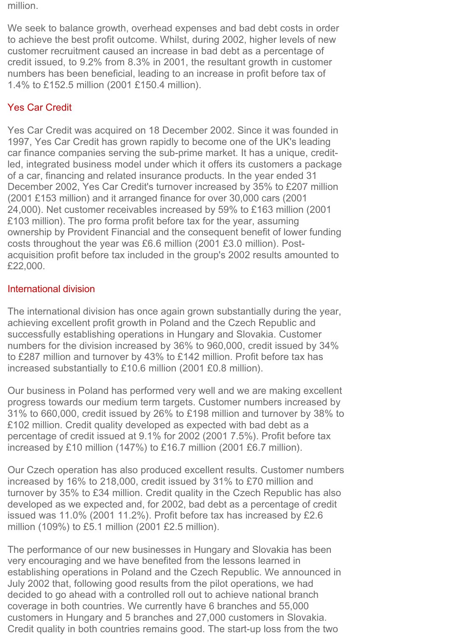million.

We seek to balance growth, overhead expenses and bad debt costs in order to achieve the best profit outcome. Whilst, during 2002, higher levels of new customer recruitment caused an increase in bad debt as a percentage of credit issued, to 9.2% from 8.3% in 2001, the resultant growth in customer numbers has been beneficial, leading to an increase in profit before tax of 1.4% to £152.5 million (2001 £150.4 million).

# Yes Car Credit

Yes Car Credit was acquired on 18 December 2002. Since it was founded in 1997, Yes Car Credit has grown rapidly to become one of the UK's leading car finance companies serving the sub-prime market. It has a unique, creditled, integrated business model under which it offers its customers a package of a car, financing and related insurance products. In the year ended 31 December 2002, Yes Car Credit's turnover increased by 35% to £207 million (2001 £153 million) and it arranged finance for over 30,000 cars (2001 24,000). Net customer receivables increased by 59% to £163 million (2001 £103 million). The pro forma profit before tax for the year, assuming ownership by Provident Financial and the consequent benefit of lower funding costs throughout the year was £6.6 million (2001 £3.0 million). Postacquisition profit before tax included in the group's 2002 results amounted to £22,000.

# International division

The international division has once again grown substantially during the year, achieving excellent profit growth in Poland and the Czech Republic and successfully establishing operations in Hungary and Slovakia. Customer numbers for the division increased by 36% to 960,000, credit issued by 34% to £287 million and turnover by 43% to £142 million. Profit before tax has increased substantially to £10.6 million (2001 £0.8 million).

Our business in Poland has performed very well and we are making excellent progress towards our medium term targets. Customer numbers increased by 31% to 660,000, credit issued by 26% to £198 million and turnover by 38% to £102 million. Credit quality developed as expected with bad debt as a percentage of credit issued at 9.1% for 2002 (2001 7.5%). Profit before tax increased by £10 million (147%) to £16.7 million (2001 £6.7 million).

Our Czech operation has also produced excellent results. Customer numbers increased by 16% to 218,000, credit issued by 31% to £70 million and turnover by 35% to £34 million. Credit quality in the Czech Republic has also developed as we expected and, for 2002, bad debt as a percentage of credit issued was 11.0% (2001 11.2%). Profit before tax has increased by £2.6 million (109%) to £5.1 million (2001 £2.5 million).

The performance of our new businesses in Hungary and Slovakia has been very encouraging and we have benefited from the lessons learned in establishing operations in Poland and the Czech Republic. We announced in July 2002 that, following good results from the pilot operations, we had decided to go ahead with a controlled roll out to achieve national branch coverage in both countries. We currently have 6 branches and 55,000 customers in Hungary and 5 branches and 27,000 customers in Slovakia. Credit quality in both countries remains good. The start-up loss from the two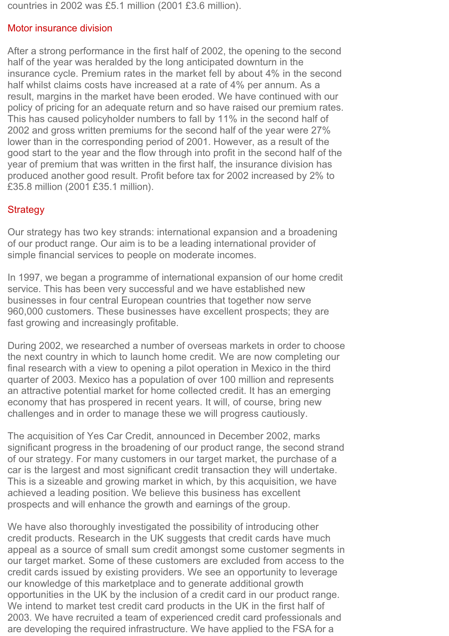countries in 2002 was £5.1 million (2001 £3.6 million).

#### Motor insurance division

After a strong performance in the first half of 2002, the opening to the second half of the year was heralded by the long anticipated downturn in the insurance cycle. Premium rates in the market fell by about 4% in the second half whilst claims costs have increased at a rate of 4% per annum. As a result, margins in the market have been eroded. We have continued with our policy of pricing for an adequate return and so have raised our premium rates. This has caused policyholder numbers to fall by 11% in the second half of 2002 and gross written premiums for the second half of the year were 27% lower than in the corresponding period of 2001. However, as a result of the good start to the year and the flow through into profit in the second half of the year of premium that was written in the first half, the insurance division has produced another good result. Profit before tax for 2002 increased by 2% to £35.8 million (2001 £35.1 million).

## **Strategy**

Our strategy has two key strands: international expansion and a broadening of our product range. Our aim is to be a leading international provider of simple financial services to people on moderate incomes.

In 1997, we began a programme of international expansion of our home credit service. This has been very successful and we have established new businesses in four central European countries that together now serve 960,000 customers. These businesses have excellent prospects; they are fast growing and increasingly profitable.

During 2002, we researched a number of overseas markets in order to choose the next country in which to launch home credit. We are now completing our final research with a view to opening a pilot operation in Mexico in the third quarter of 2003. Mexico has a population of over 100 million and represents an attractive potential market for home collected credit. It has an emerging economy that has prospered in recent years. It will, of course, bring new challenges and in order to manage these we will progress cautiously.

The acquisition of Yes Car Credit, announced in December 2002, marks significant progress in the broadening of our product range, the second strand of our strategy. For many customers in our target market, the purchase of a car is the largest and most significant credit transaction they will undertake. This is a sizeable and growing market in which, by this acquisition, we have achieved a leading position. We believe this business has excellent prospects and will enhance the growth and earnings of the group.

We have also thoroughly investigated the possibility of introducing other credit products. Research in the UK suggests that credit cards have much appeal as a source of small sum credit amongst some customer segments in our target market. Some of these customers are excluded from access to the credit cards issued by existing providers. We see an opportunity to leverage our knowledge of this marketplace and to generate additional growth opportunities in the UK by the inclusion of a credit card in our product range. We intend to market test credit card products in the UK in the first half of 2003. We have recruited a team of experienced credit card professionals and are developing the required infrastructure. We have applied to the FSA for a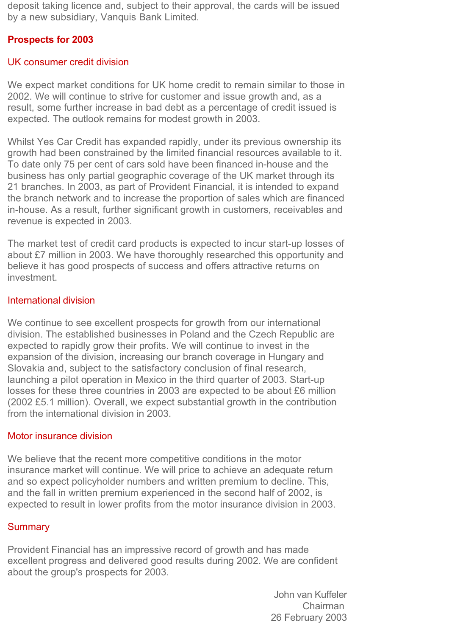deposit taking licence and, subject to their approval, the cards will be issued by a new subsidiary, Vanquis Bank Limited.

# **Prospects for 2003**

## UK consumer credit division

We expect market conditions for UK home credit to remain similar to those in 2002. We will continue to strive for customer and issue growth and, as a result, some further increase in bad debt as a percentage of credit issued is expected. The outlook remains for modest growth in 2003.

Whilst Yes Car Credit has expanded rapidly, under its previous ownership its growth had been constrained by the limited financial resources available to it. To date only 75 per cent of cars sold have been financed in-house and the business has only partial geographic coverage of the UK market through its 21 branches. In 2003, as part of Provident Financial, it is intended to expand the branch network and to increase the proportion of sales which are financed in-house. As a result, further significant growth in customers, receivables and revenue is expected in 2003.

The market test of credit card products is expected to incur start-up losses of about £7 million in 2003. We have thoroughly researched this opportunity and believe it has good prospects of success and offers attractive returns on investment.

## International division

We continue to see excellent prospects for growth from our international division. The established businesses in Poland and the Czech Republic are expected to rapidly grow their profits. We will continue to invest in the expansion of the division, increasing our branch coverage in Hungary and Slovakia and, subject to the satisfactory conclusion of final research, launching a pilot operation in Mexico in the third quarter of 2003. Start-up losses for these three countries in 2003 are expected to be about £6 million (2002 £5.1 million). Overall, we expect substantial growth in the contribution from the international division in 2003.

# Motor insurance division

We believe that the recent more competitive conditions in the motor insurance market will continue. We will price to achieve an adequate return and so expect policyholder numbers and written premium to decline. This, and the fall in written premium experienced in the second half of 2002, is expected to result in lower profits from the motor insurance division in 2003.

# **Summary**

Provident Financial has an impressive record of growth and has made excellent progress and delivered good results during 2002. We are confident about the group's prospects for 2003.

> John van Kuffeler Chairman 26 February 2003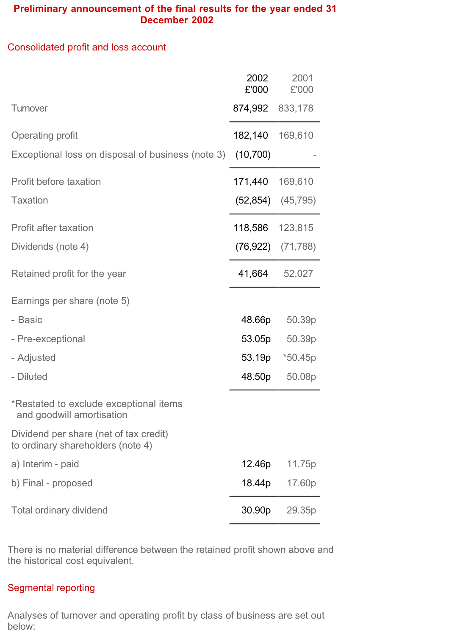# **Preliminary announcement of the final results for the year ended 31 December 2002**

# Consolidated profit and loss account

|                                                                             | 2002<br>£'000 | 2001<br>£'000         |
|-----------------------------------------------------------------------------|---------------|-----------------------|
| Turnover                                                                    | 874,992       | 833,178               |
| <b>Operating profit</b>                                                     | 182,140       | 169,610               |
| Exceptional loss on disposal of business (note 3)                           | (10, 700)     |                       |
| Profit before taxation                                                      | 171,440       | 169,610               |
| <b>Taxation</b>                                                             |               | $(52,854)$ $(45,795)$ |
| <b>Profit after taxation</b>                                                | 118,586       | 123,815               |
| Dividends (note 4)                                                          |               | $(76,922)$ $(71,788)$ |
| Retained profit for the year                                                | 41,664        | 52,027                |
| Earnings per share (note 5)                                                 |               |                       |
| - Basic                                                                     | 48.66p        | 50.39p                |
| - Pre-exceptional                                                           | 53.05p        | 50.39p                |
| - Adjusted                                                                  | 53.19p        | $*50.45p$             |
| - Diluted                                                                   | 48.50p        | 50.08p                |
| *Restated to exclude exceptional items<br>and goodwill amortisation         |               |                       |
| Dividend per share (net of tax credit)<br>to ordinary shareholders (note 4) |               |                       |
| a) Interim - paid                                                           | 12.46p        | 11.75p                |
| b) Final - proposed                                                         | 18.44p        | 17.60p                |
| Total ordinary dividend                                                     | 30.90p        | 29.35p                |

There is no material difference between the retained profit shown above and the historical cost equivalent.

# Segmental reporting

Analyses of turnover and operating profit by class of business are set out below: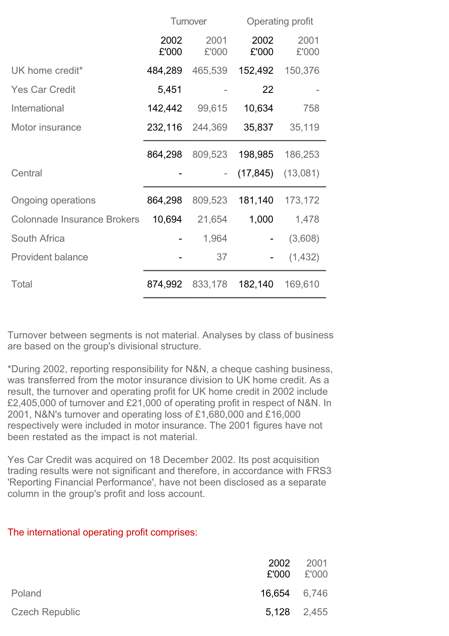|                                    | Turnover      |               |               | Operating profit        |
|------------------------------------|---------------|---------------|---------------|-------------------------|
|                                    | 2002<br>£'000 | 2001<br>£'000 | 2002<br>£'000 | 2001<br>£'000           |
| UK home credit*                    | 484,289       | 465,539       | 152,492       | 150,376                 |
| <b>Yes Car Credit</b>              | 5,451         |               | 22            |                         |
| International                      | 142,442       | 99,615        | 10,634        | 758                     |
| Motor insurance                    | 232,116       | 244,369       | 35,837        | 35,119                  |
|                                    | 864,298       | 809,523       | 198,985       | 186,253                 |
| Central                            |               |               |               | $(17, 845)$ $(13, 081)$ |
| <b>Ongoing operations</b>          | 864,298       | 809,523       | 181,140       | 173,172                 |
| <b>Colonnade Insurance Brokers</b> | 10,694        | 21,654        | 1,000         | 1,478                   |
| <b>South Africa</b>                |               | 1,964         | -             | (3,608)                 |
| <b>Provident balance</b>           |               | 37            | ۰             | (1, 432)                |
| <b>Total</b>                       | 874,992       | 833,178       | 182,140       | 169,610                 |

Turnover between segments is not material. Analyses by class of business are based on the group's divisional structure.

\*During 2002, reporting responsibility for N&N, a cheque cashing business, was transferred from the motor insurance division to UK home credit. As a result, the turnover and operating profit for UK home credit in 2002 include £2,405,000 of turnover and £21,000 of operating profit in respect of N&N. In 2001, N&N's turnover and operating loss of £1,680,000 and £16,000 respectively were included in motor insurance. The 2001 figures have not been restated as the impact is not material.

Yes Car Credit was acquired on 18 December 2002. Its post acquisition trading results were not significant and therefore, in accordance with FRS3 'Reporting Financial Performance', have not been disclosed as a separate column in the group's profit and loss account.

|  | The international operating profit comprises: |  |
|--|-----------------------------------------------|--|
|  |                                               |  |

|                       |              | 2002 2001<br>$£'000$ $£'000$ |
|-----------------------|--------------|------------------------------|
| Poland                | 16,654 6,746 |                              |
| <b>Czech Republic</b> |              | 5,128 2,455                  |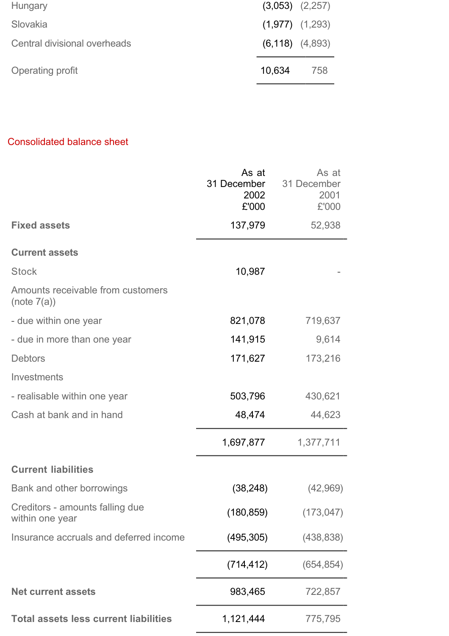| Hungary                      | $(3,053)$ $(2,257)$   |     |
|------------------------------|-----------------------|-----|
| Slovakia                     | $(1,977)$ $(1,293)$   |     |
| Central divisional overheads | $(6, 118)$ $(4, 893)$ |     |
| Operating profit             | 10,634                | 758 |

# Consolidated balance sheet

|                                                    | As at<br>31 December<br>2002<br>£'000 | As at<br>31 December<br>2001<br>£'000 |
|----------------------------------------------------|---------------------------------------|---------------------------------------|
| <b>Fixed assets</b>                                | 137,979                               | 52,938                                |
| <b>Current assets</b>                              |                                       |                                       |
| <b>Stock</b>                                       | 10,987                                |                                       |
| Amounts receivable from customers<br>(note 7(a))   |                                       |                                       |
| - due within one year                              | 821,078                               | 719,637                               |
| - due in more than one year                        | 141,915                               | 9,614                                 |
| <b>Debtors</b>                                     | 171,627                               | 173,216                               |
| Investments                                        |                                       |                                       |
| - realisable within one year                       | 503,796                               | 430,621                               |
| Cash at bank and in hand                           | 48,474                                | 44,623                                |
|                                                    | 1,697,877                             | 1,377,711                             |
| <b>Current liabilities</b>                         |                                       |                                       |
| Bank and other borrowings                          | (38, 248)                             | (42,969)                              |
| Creditors - amounts falling due<br>within one year | (180, 859)                            | (173, 047)                            |
| Insurance accruals and deferred income             | (495, 305)                            | (438, 838)                            |
|                                                    | (714, 412)                            | (654, 854)                            |
| <b>Net current assets</b>                          | 983,465                               | 722,857                               |
| <b>Total assets less current liabilities</b>       | 1,121,444                             | 775,795                               |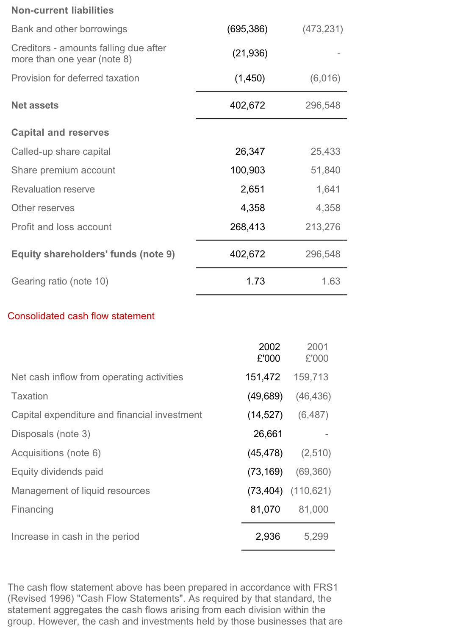#### **Non-current liabilities**

| Bank and other borrowings                                            | (695, 386) | (473, 231) |
|----------------------------------------------------------------------|------------|------------|
| Creditors - amounts falling due after<br>more than one year (note 8) | (21, 936)  |            |
| Provision for deferred taxation                                      | (1,450)    | (6,016)    |
| <b>Net assets</b>                                                    | 402,672    | 296,548    |
| <b>Capital and reserves</b>                                          |            |            |
| Called-up share capital                                              | 26,347     | 25,433     |
| Share premium account                                                | 100,903    | 51,840     |
| <b>Revaluation reserve</b>                                           | 2,651      | 1,641      |
| Other reserves                                                       | 4,358      | 4,358      |
| Profit and loss account                                              | 268,413    | 213,276    |
| Equity shareholders' funds (note 9)                                  | 402,672    | 296,548    |
| Gearing ratio (note 10)                                              | 1.73       | 1.63       |

# Consolidated cash flow statement

| 2002<br>£'000 | 2001<br>£'000          |
|---------------|------------------------|
| 151,472       | 159,713                |
| (49, 689)     | (46, 436)              |
| (14, 527)     | (6, 487)               |
| 26,661        |                        |
| (45, 478)     | (2,510)                |
| (73, 169)     | (69, 360)              |
|               | $(73,404)$ $(110,621)$ |
| 81,070        | 81,000                 |
| 2,936         | 5,299                  |
|               |                        |

The cash flow statement above has been prepared in accordance with FRS1 (Revised 1996) "Cash Flow Statements". As required by that standard, the statement aggregates the cash flows arising from each division within the group. However, the cash and investments held by those businesses that are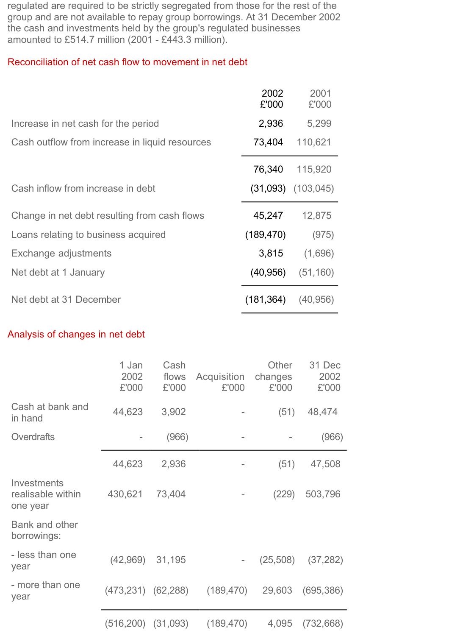regulated are required to be strictly segregated from those for the rest of the group and are not available to repay group borrowings. At 31 December 2002 the cash and investments held by the group's regulated businesses amounted to £514.7 million (2001 - £443.3 million).

## Reconciliation of net cash flow to movement in net debt

|                                                | 2002<br>£'000 | 2001<br>£'000          |
|------------------------------------------------|---------------|------------------------|
| Increase in net cash for the period            | 2,936         | 5,299                  |
| Cash outflow from increase in liquid resources | 73,404        | 110,621                |
|                                                | 76,340        | 115,920                |
| Cash inflow from increase in debt              |               | $(31,093)$ $(103,045)$ |
| Change in net debt resulting from cash flows   | 45,247        | 12,875                 |
| Loans relating to business acquired            | (189, 470)    | (975)                  |
| Exchange adjustments                           | 3,815         | (1,696)                |
| Net debt at 1 January                          | (40, 956)     | (51, 160)              |
| Net debt at 31 December                        | (181, 364)    | (40, 956)              |

# Analysis of changes in net debt

|                                              | 1 Jan<br>2002<br>£'000   | Cash<br>flows<br>£'000 | Acquisition<br>£'000 | Other<br>changes<br>£'000 | 31 Dec<br>2002<br>£'000 |
|----------------------------------------------|--------------------------|------------------------|----------------------|---------------------------|-------------------------|
| Cash at bank and<br>in hand                  | 44,623                   | 3,902                  |                      | (51)                      | 48,474                  |
| Overdrafts                                   |                          | (966)                  |                      |                           | (966)                   |
|                                              | 44,623                   | 2,936                  |                      | (51)                      | 47,508                  |
| Investments<br>realisable within<br>one year | 430,621                  | 73,404                 |                      | (229)                     | 503,796                 |
| Bank and other<br>borrowings:                |                          |                        |                      |                           |                         |
| - less than one<br>year                      | (42,969)                 | 31,195                 |                      | (25,508)                  | (37, 282)               |
| - more than one<br>year                      | $(473, 231)$ $(62, 288)$ |                        | (189, 470)           | 29,603                    | (695, 386)              |
|                                              | (516, 200)               | (31,093)               | (189, 470)           | 4,095                     | (732, 668)              |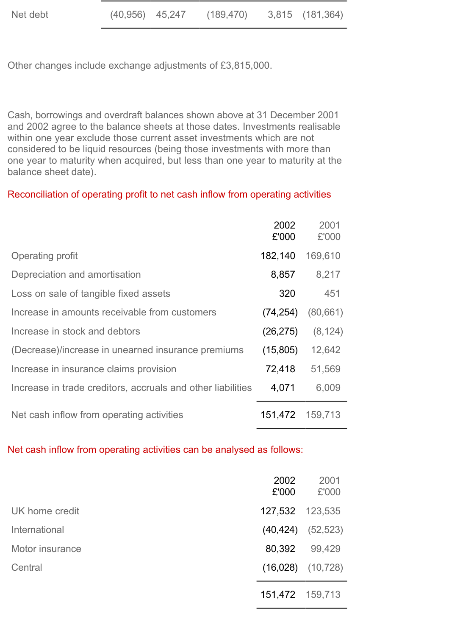Other changes include exchange adjustments of £3,815,000.

Cash, borrowings and overdraft balances shown above at 31 December 2001 and 2002 agree to the balance sheets at those dates. Investments realisable within one year exclude those current asset investments which are not considered to be liquid resources (being those investments with more than one year to maturity when acquired, but less than one year to maturity at the balance sheet date).

# Reconciliation of operating profit to net cash inflow from operating activities

|                                                             | 2002<br>£'000 | 2001<br>£'000 |
|-------------------------------------------------------------|---------------|---------------|
| Operating profit                                            | 182,140       | 169,610       |
| Depreciation and amortisation                               | 8,857         | 8,217         |
| Loss on sale of tangible fixed assets                       | 320           | 451           |
| Increase in amounts receivable from customers               | (74, 254)     | (80, 661)     |
| Increase in stock and debtors                               | (26, 275)     | (8, 124)      |
| (Decrease)/increase in unearned insurance premiums          | (15,805)      | 12,642        |
| Increase in insurance claims provision                      | 72,418        | 51,569        |
| Increase in trade creditors, accruals and other liabilities | 4,071         | 6,009         |
| Net cash inflow from operating activities                   | 151,472       | 159,713       |

Net cash inflow from operating activities can be analysed as follows:

|                 | 2002<br>£'000   | 2001<br>£'000           |
|-----------------|-----------------|-------------------------|
| UK home credit  | 127,532 123,535 |                         |
| International   |                 | $(40, 424)$ $(52, 523)$ |
| Motor insurance | 80,392          | 99,429                  |
| Central         |                 | $(16,028)$ $(10,728)$   |
|                 |                 | 151,472 159,713         |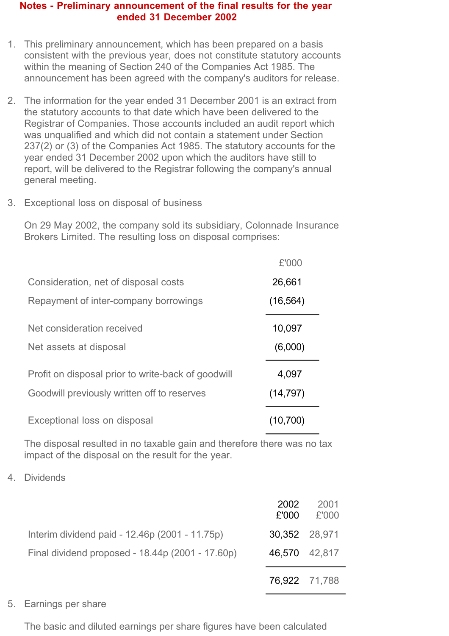#### **Notes - Preliminary announcement of the final results for the year ended 31 December 2002**

- 1. This preliminary announcement, which has been prepared on a basis consistent with the previous year, does not constitute statutory accounts within the meaning of Section 240 of the Companies Act 1985. The announcement has been agreed with the company's auditors for release.
- 2. The information for the year ended 31 December 2001 is an extract from the statutory accounts to that date which have been delivered to the Registrar of Companies. Those accounts included an audit report which was unqualified and which did not contain a statement under Section 237(2) or (3) of the Companies Act 1985. The statutory accounts for the year ended 31 December 2002 upon which the auditors have still to report, will be delivered to the Registrar following the company's annual general meeting.
- 3. Exceptional loss on disposal of business

On 29 May 2002, the company sold its subsidiary, Colonnade Insurance Brokers Limited. The resulting loss on disposal comprises:

|                                                    | £'000     |
|----------------------------------------------------|-----------|
| Consideration, net of disposal costs               | 26,661    |
| Repayment of inter-company borrowings              | (16, 564) |
| Net consideration received                         | 10,097    |
| Net assets at disposal                             | (6,000)   |
| Profit on disposal prior to write-back of goodwill | 4,097     |
| Goodwill previously written off to reserves        | (14, 797) |
| Exceptional loss on disposal                       | (10,700)  |

The disposal resulted in no taxable gain and therefore there was no tax impact of the disposal on the result for the year.

4. Dividends

|                                                  | 2002<br>£'000 | 2001<br>£'000 |
|--------------------------------------------------|---------------|---------------|
| Interim dividend paid - 12.46p (2001 - 11.75p)   | 30,352 28,971 |               |
| Final dividend proposed - 18.44p (2001 - 17.60p) | 46,570 42,817 |               |
|                                                  | 76.922 71,788 |               |

#### 5. Earnings per share

The basic and diluted earnings per share figures have been calculated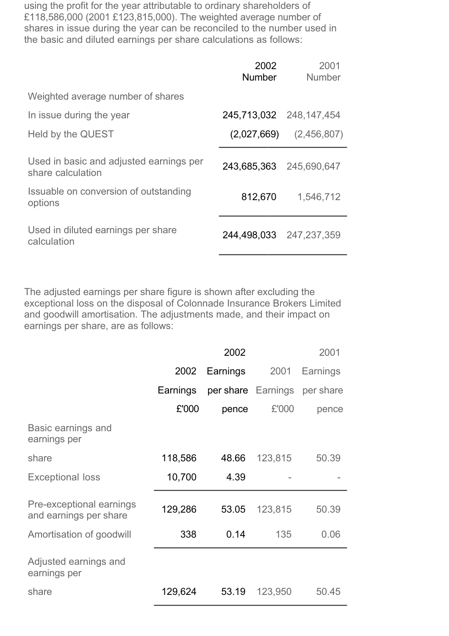using the profit for the year attributable to ordinary shareholders of £118,586,000 (2001 £123,815,000). The weighted average number of shares in issue during the year can be reconciled to the number used in the basic and diluted earnings per share calculations as follows:

|                                                              | 2002<br><b>Number</b>   | 2001<br><b>Number</b>       |
|--------------------------------------------------------------|-------------------------|-----------------------------|
| Weighted average number of shares                            |                         |                             |
| In issue during the year                                     | 245,713,032 248,147,454 |                             |
| Held by the QUEST                                            |                         | $(2,027,669)$ $(2,456,807)$ |
| Used in basic and adjusted earnings per<br>share calculation | 243,685,363 245,690,647 |                             |
| Issuable on conversion of outstanding<br>options             | 812,670                 | 1,546,712                   |
| Used in diluted earnings per share<br>calculation            | 244,498,033 247,237,359 |                             |

The adjusted earnings per share figure is shown after excluding the exceptional loss on the disposal of Colonnade Insurance Brokers Limited and goodwill amortisation. The adjustments made, and their impact on earnings per share, are as follows:

|                                                    |          | 2002     |                    | 2001      |
|----------------------------------------------------|----------|----------|--------------------|-----------|
|                                                    | 2002     | Earnings | 2001               | Earnings  |
|                                                    | Earnings |          | per share Earnings | per share |
|                                                    | £'000    | pence    | £'000              | pence     |
| Basic earnings and<br>earnings per                 |          |          |                    |           |
| share                                              | 118,586  | 48.66    | 123,815            | 50.39     |
| <b>Exceptional loss</b>                            | 10,700   | 4.39     |                    |           |
| Pre-exceptional earnings<br>and earnings per share | 129,286  | 53.05    | 123,815            | 50.39     |
| Amortisation of goodwill                           | 338      | 0.14     | 135                | 0.06      |
| Adjusted earnings and<br>earnings per              |          |          |                    |           |
| share                                              | 129,624  | 53.19    | 123,950            | 50.45     |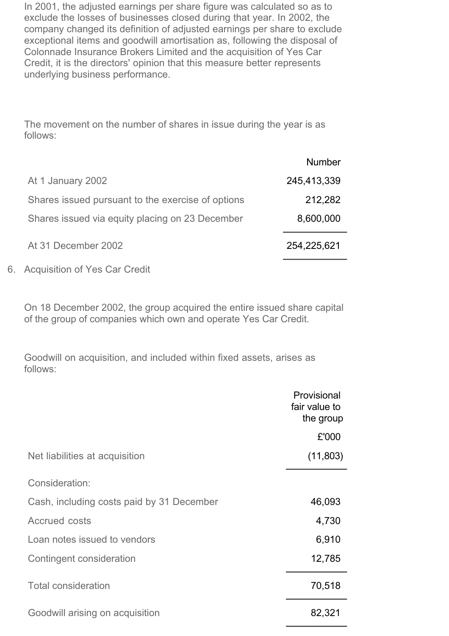In 2001, the adjusted earnings per share figure was calculated so as to exclude the losses of businesses closed during that year. In 2002, the company changed its definition of adjusted earnings per share to exclude exceptional items and goodwill amortisation as, following the disposal of Colonnade Insurance Brokers Limited and the acquisition of Yes Car Credit, it is the directors' opinion that this measure better represents underlying business performance.

The movement on the number of shares in issue during the year is as follows:

|                                                   | <b>Number</b> |
|---------------------------------------------------|---------------|
| At 1 January 2002                                 | 245,413,339   |
| Shares issued pursuant to the exercise of options | 212,282       |
| Shares issued via equity placing on 23 December   | 8,600,000     |
| At 31 December 2002                               | 254,225,621   |
|                                                   |               |

6. Acquisition of Yes Car Credit

On 18 December 2002, the group acquired the entire issued share capital of the group of companies which own and operate Yes Car Credit.

Goodwill on acquisition, and included within fixed assets, arises as follows:

|                                           | Provisional<br>fair value to<br>the group |
|-------------------------------------------|-------------------------------------------|
|                                           | £'000                                     |
| Net liabilities at acquisition            | (11,803)                                  |
| Consideration:                            |                                           |
| Cash, including costs paid by 31 December | 46,093                                    |
| <b>Accrued costs</b>                      | 4,730                                     |
| Loan notes issued to vendors              | 6,910                                     |
| Contingent consideration                  | 12,785                                    |
| <b>Total consideration</b>                | 70,518                                    |
| Goodwill arising on acquisition           | 82,321                                    |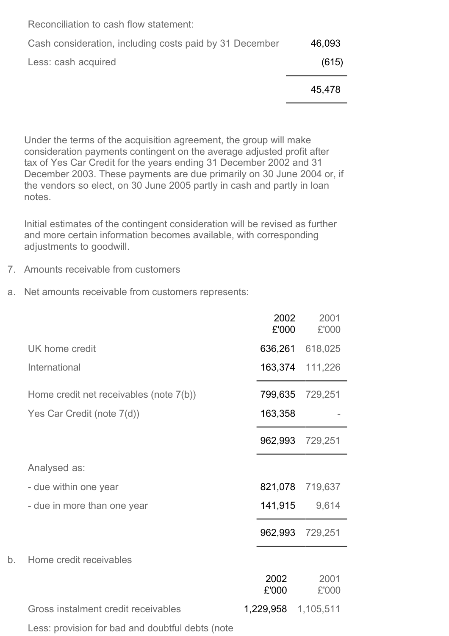|                                                         | 45.478 |
|---------------------------------------------------------|--------|
| Less: cash acquired                                     | (615)  |
| Cash consideration, including costs paid by 31 December | 46,093 |
| Reconciliation to cash flow statement:                  |        |

Under the terms of the acquisition agreement, the group will make consideration payments contingent on the average adjusted profit after tax of Yes Car Credit for the years ending 31 December 2002 and 31 December 2003. These payments are due primarily on 30 June 2004 or, if the vendors so elect, on 30 June 2005 partly in cash and partly in loan notes.

Initial estimates of the contingent consideration will be revised as further and more certain information becomes available, with corresponding adjustments to goodwill.

- 7. Amounts receivable from customers
- a. Net amounts receivable from customers represents:

|    |                                                  | 2002<br>£'000 | 2001<br>£'000 |
|----|--------------------------------------------------|---------------|---------------|
|    | UK home credit                                   | 636,261       | 618,025       |
|    | International                                    | 163,374       | 111,226       |
|    | Home credit net receivables (note 7(b))          | 799,635       | 729,251       |
|    | Yes Car Credit (note 7(d))                       | 163,358       |               |
|    |                                                  | 962,993       | 729,251       |
|    | Analysed as:                                     |               |               |
|    | - due within one year                            | 821,078       | 719,637       |
|    | - due in more than one year                      | 141,915       | 9,614         |
|    |                                                  | 962,993       | 729,251       |
| b. | Home credit receivables                          |               |               |
|    |                                                  | 2002<br>£'000 | 2001<br>£'000 |
|    | Gross instalment credit receivables              | 1,229,958     | 1,105,511     |
|    | Less: provision for bad and doubtful debts (note |               |               |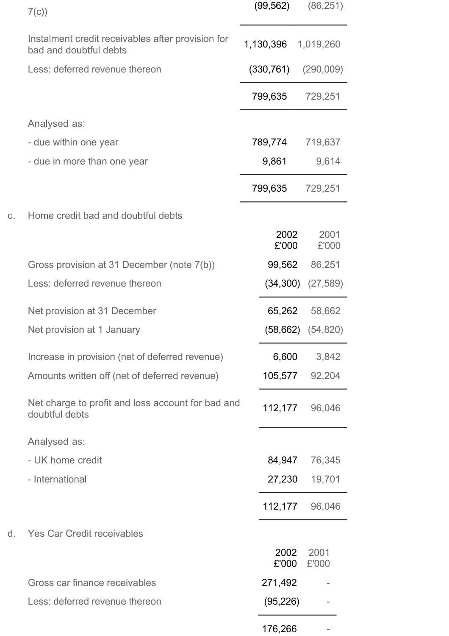|    | 7(c)                                                                        | (99, 562)     | (86, 251)     |
|----|-----------------------------------------------------------------------------|---------------|---------------|
|    | Instalment credit receivables after provision for<br>bad and doubtful debts | 1,130,396     | 1,019,260     |
|    | Less: deferred revenue thereon                                              | (330, 761)    | (290,009)     |
|    |                                                                             | 799,635       | 729,251       |
|    | Analysed as:                                                                |               |               |
|    | - due within one year                                                       | 789,774       | 719,637       |
|    | - due in more than one year                                                 | 9,861         | 9,614         |
|    |                                                                             | 799,635       | 729,251       |
| C. | Home credit bad and doubtful debts                                          |               |               |
|    |                                                                             | 2002<br>£'000 | 2001<br>£'000 |
|    | Gross provision at 31 December (note 7(b))                                  | 99,562        | 86,251        |
|    | Less: deferred revenue thereon                                              | (34, 300)     | (27, 589)     |
|    | Net provision at 31 December                                                | 65,262        | 58,662        |
|    | Net provision at 1 January                                                  | (58, 662)     | (54, 820)     |
|    | Increase in provision (net of deferred revenue)                             | 6,600         | 3,842         |
|    | Amounts written off (net of deferred revenue)                               | 105,577       | 92,204        |
|    | Net charge to profit and loss account for bad and<br>doubtful debts         | 112,177       | 96,046        |
|    | Analysed as:                                                                |               |               |
|    | - UK home credit                                                            | 84,947        | 76,345        |
|    | - International                                                             | 27,230        | 19,701        |
|    |                                                                             | 112,177       | 96,046        |
| d. | <b>Yes Car Credit receivables</b>                                           |               |               |
|    |                                                                             | 2002<br>£'000 | 2001<br>£'000 |
|    | Gross car finance receivables                                               | 271,492       |               |
|    | Less: deferred revenue thereon                                              | (95, 226)     |               |
|    |                                                                             | 176,266       |               |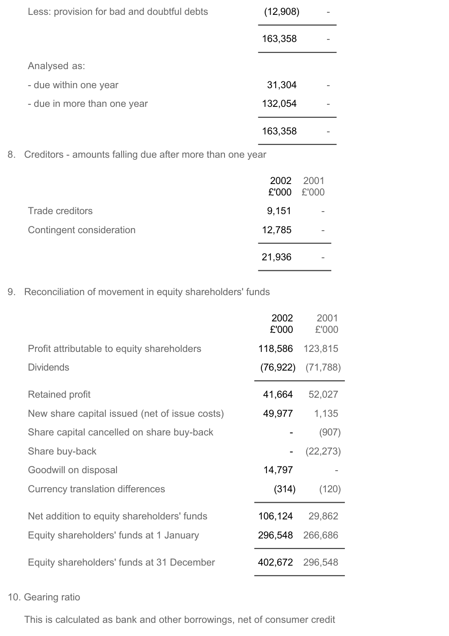| Less: provision for bad and doubtful debts | (12,908) |  |
|--------------------------------------------|----------|--|
|                                            | 163,358  |  |
| Analysed as:                               |          |  |
| - due within one year                      | 31,304   |  |
| - due in more than one year                | 132,054  |  |
|                                            | 163,358  |  |

8. Creditors - amounts falling due after more than one year

|                          | 2002<br>£'000 | 2001<br>£'000            |
|--------------------------|---------------|--------------------------|
| <b>Trade creditors</b>   | 9,151         | $\overline{\phantom{a}}$ |
| Contingent consideration | 12,785        | $\overline{\phantom{a}}$ |
|                          | 21,936        | $\overline{\phantom{a}}$ |

9. Reconciliation of movement in equity shareholders' funds

|                                               | 2002<br>£'000 | 2001<br>£'000         |
|-----------------------------------------------|---------------|-----------------------|
| Profit attributable to equity shareholders    | 118,586       | 123,815               |
| <b>Dividends</b>                              |               | $(76,922)$ $(71,788)$ |
| <b>Retained profit</b>                        | 41,664        | 52,027                |
| New share capital issued (net of issue costs) | 49,977        | 1,135                 |
| Share capital cancelled on share buy-back     |               | (907)                 |
| Share buy-back                                |               | (22, 273)             |
| Goodwill on disposal                          | 14,797        |                       |
| Currency translation differences              | (314)         | (120)                 |
| Net addition to equity shareholders' funds    | 106,124       | 29,862                |
| Equity shareholders' funds at 1 January       | 296,548       | 266,686               |
| Equity shareholders' funds at 31 December     | 402,672       | 296,548               |

# 10. Gearing ratio

This is calculated as bank and other borrowings, net of consumer credit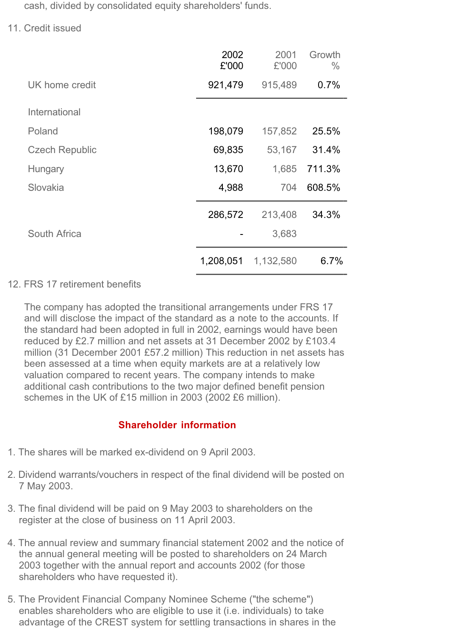cash, divided by consolidated equity shareholders' funds.

11. Credit issued

|                       | 2002<br>£'000 | 2001<br>£'000 | Growth<br>$\frac{0}{0}$ |
|-----------------------|---------------|---------------|-------------------------|
| UK home credit        | 921,479       | 915,489       | 0.7%                    |
| International         |               |               |                         |
| Poland                | 198,079       | 157,852       | 25.5%                   |
| <b>Czech Republic</b> | 69,835        | 53,167        | 31.4%                   |
| Hungary               | 13,670        | 1,685         | 711.3%                  |
| Slovakia              | 4,988         | 704           | 608.5%                  |
|                       | 286,572       | 213,408       | 34.3%                   |
| South Africa          |               | 3,683         |                         |
|                       | 1,208,051     | 1,132,580     | 6.7%                    |

## 12. FRS 17 retirement benefits

The company has adopted the transitional arrangements under FRS 17 and will disclose the impact of the standard as a note to the accounts. If the standard had been adopted in full in 2002, earnings would have been reduced by £2.7 million and net assets at 31 December 2002 by £103.4 million (31 December 2001 £57.2 million) This reduction in net assets has been assessed at a time when equity markets are at a relatively low valuation compared to recent years. The company intends to make additional cash contributions to the two major defined benefit pension schemes in the UK of £15 million in 2003 (2002 £6 million).

# **Shareholder information**

- 1. The shares will be marked ex-dividend on 9 April 2003.
- 2. Dividend warrants/vouchers in respect of the final dividend will be posted on 7 May 2003.
- 3. The final dividend will be paid on 9 May 2003 to shareholders on the register at the close of business on 11 April 2003.
- 4. The annual review and summary financial statement 2002 and the notice of the annual general meeting will be posted to shareholders on 24 March 2003 together with the annual report and accounts 2002 (for those shareholders who have requested it).
- 5. The Provident Financial Company Nominee Scheme ("the scheme") enables shareholders who are eligible to use it (i.e. individuals) to take advantage of the CREST system for settling transactions in shares in the